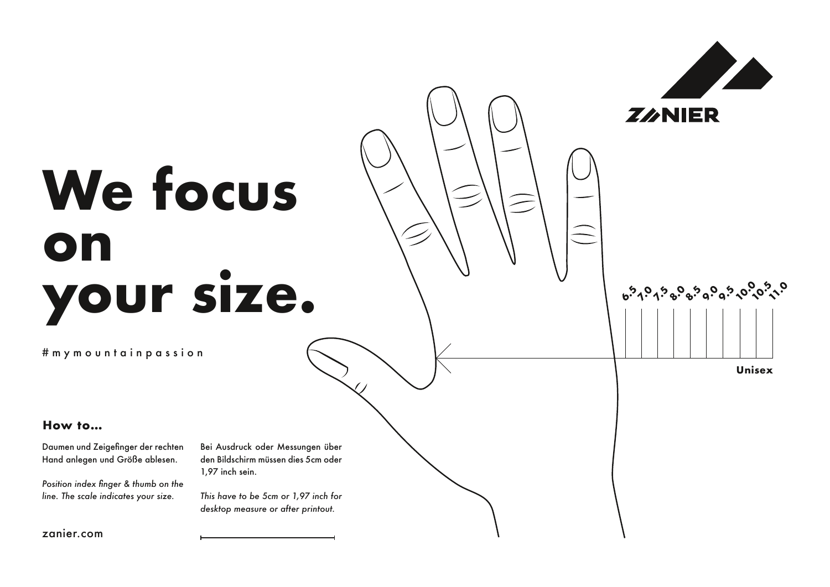

#mymountainpassion

## **How to…**

Daumen und Zeigefinger der rechten Hand anlegen und Größe ablesen.

*Position index finger & thumb on the line. The scale indicates your size.*

Bei Ausdruck oder Messungen über den Bildschirm müssen dies 5cm oder 1,97 inch sein.

**7.5 8.0 8.5 9.0 9.5 6.5 7.0**

**ZANIER** 

**10.0 10.5 11.0**

**Unisex**

*This have to be 5cm or 1,97 inch for desktop measure or after printout.*

zanier.com